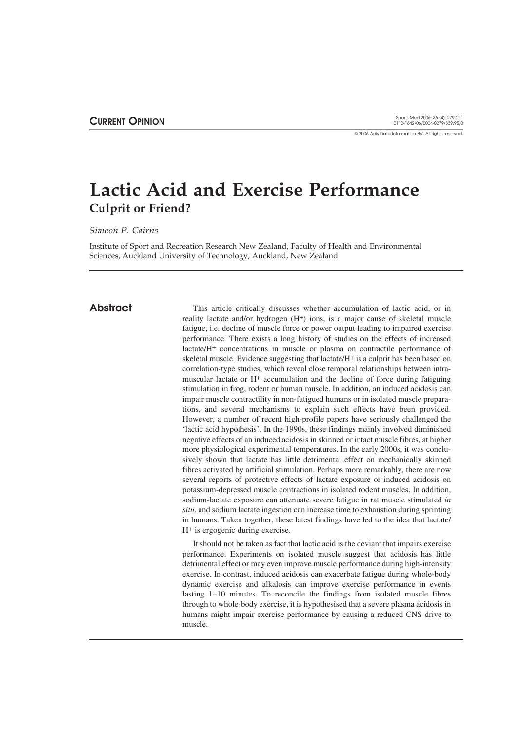2006 Adis Data Information BV. All rights reserved.

# **Lactic Acid and Exercise Performance Culprit or Friend?**

*Simeon P. Cairns*

Institute of Sport and Recreation Research New Zealand, Faculty of Health and Environmental Sciences, Auckland University of Technology, Auckland, New Zealand

**Abstract** This article critically discusses whether accumulation of lactic acid, or in reality lactate and/or hydrogen (H+) ions, is a major cause of skeletal muscle fatigue, i.e. decline of muscle force or power output leading to impaired exercise performance. There exists a long history of studies on the effects of increased lactate/H+ concentrations in muscle or plasma on contractile performance of skeletal muscle. Evidence suggesting that lactate/H+ is a culprit has been based on correlation-type studies, which reveal close temporal relationships between intramuscular lactate or H+ accumulation and the decline of force during fatiguing stimulation in frog, rodent or human muscle. In addition, an induced acidosis can impair muscle contractility in non-fatigued humans or in isolated muscle preparations, and several mechanisms to explain such effects have been provided. However, a number of recent high-profile papers have seriously challenged the 'lactic acid hypothesis'. In the 1990s, these findings mainly involved diminished negative effects of an induced acidosis in skinned or intact muscle fibres, at higher more physiological experimental temperatures. In the early 2000s, it was conclusively shown that lactate has little detrimental effect on mechanically skinned fibres activated by artificial stimulation. Perhaps more remarkably, there are now several reports of protective effects of lactate exposure or induced acidosis on potassium-depressed muscle contractions in isolated rodent muscles. In addition, sodium-lactate exposure can attenuate severe fatigue in rat muscle stimulated *in situ*, and sodium lactate ingestion can increase time to exhaustion during sprinting in humans. Taken together, these latest findings have led to the idea that lactate/ H+ is ergogenic during exercise.

> It should not be taken as fact that lactic acid is the deviant that impairs exercise performance. Experiments on isolated muscle suggest that acidosis has little detrimental effect or may even improve muscle performance during high-intensity exercise. In contrast, induced acidosis can exacerbate fatigue during whole-body dynamic exercise and alkalosis can improve exercise performance in events lasting 1–10 minutes. To reconcile the findings from isolated muscle fibres through to whole-body exercise, it is hypothesised that a severe plasma acidosis in humans might impair exercise performance by causing a reduced CNS drive to muscle.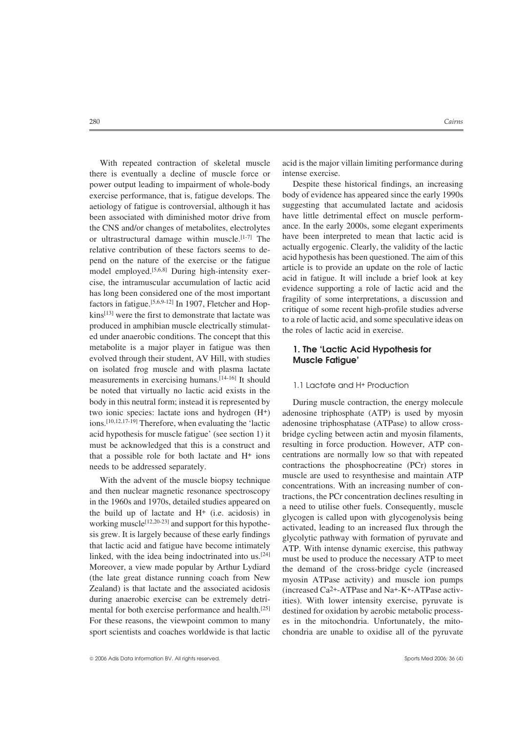there is eventually a decline of muscle force or intense exercise. power output leading to impairment of whole-body Despite these historical findings, an increasing exercise performance, that is, fatigue develops. The body of evidence has appeared since the early 1990s aetiology of fatigue is controversial, although it has suggesting that accumulated lactate and acidosis been associated with diminished motor drive from have little detrimental effect on muscle performbeen associated with diminished motor drive from have little detrimental effect on muscle perform-<br>the CNS and/or changes of metabolites electrolytes ance. In the early 2000s, some elegant experiments the CNS and/or changes of metabolites, electrolytes ance. In the early 2000s, some elegant experiments or ultrastructural damage within muscle  $[1-7]$ . The have been interpreted to mean that lactic acid is or ultrastructural damage within muscle.<sup>[1-7]</sup> The have been interpreted to mean that lactic acid is relative contribution of these factors seems to de actually ergogenic. Clearly, the validity of the lactic relative contribution of these factors seems to de-<br>negative contribution of the exercise or the fatigue acid hypothesis has been questioned. The aim of this pend on the nature of the exercise or the fatigue<br>model employed.<sup>[5,6,8]</sup> During high-intensity exercise is to provide an update on the role of lactic<br>cise, the intramuscular accumulation of lactic acid<br>has long been cons ed under anaerobic conditions. The concept that this metabolite is a major player in fatigue was then **1. The 'Lactic Acid Hypothesis for** evolved through their student, AV Hill, with studies **Muscle Fatigue'** on isolated frog muscle and with plasma lactate measurements in exercising humans.<sup>[14-16]</sup> It should be noted that virtually no lactic acid exists in the 1.1 Lactate and H+ Production body in this neutral form; instead it is represented by During muscle contraction, the energy molecule two ionic species: lactate ions and hydrogen (H+) adenosine triphosphate (ATP) is used by myosin ions.<sup>[10,12,17-19]</sup> Therefore, when evaluating the 'lactic adenosine triphosphatase (ATPase) to allow crossacid hypothesis for muscle fatigue' (see section 1) it bridge cycling between actin and myosin filaments, must be acknowledged that this is a construct and resulting in force production. However, ATP conthat a possible role for both lactate and H+ ions centrations are normally low so that with repeated

linked, with the idea being indoctrinated into us.<sup>[24]</sup> must be used to produce the necessary ATP to meet Moreover, a view made popular by Arthur Lydiard the demand of the cross-bridge cycle (increased (the late great distance running coach from New myosin ATPase activity) and muscle ion numns Zealand) is that lactate and the associated acidosis (increased  $Ca<sup>2+</sup>-ATPase$  and Na+-K+-ATPase activduring anaerobic exercise can be extremely detri-<br>ities). With lower intensity exercise, pyruvate is mental for both exercise performance and health.<sup>[25]</sup> destined for oxidation by aerobic metabolic process-For these reasons, the viewpoint common to many es in the mitochondria. Unfortunately, the mitosport scientists and coaches worldwide is that lactic chondria are unable to oxidise all of the pyruvate

With repeated contraction of skeletal muscle acid is the major villain limiting performance during

needs to be addressed separately.<br>
With the advent of the numerle binger technique and muscle are used to resynthesise and maintain ATP With the advent of the muscle biopsy technique<br>and then nuclear magnetic resonance spectroscopy<br>in the 1960s and 1970s, detailed studies appeared on<br>the build up of lactate and H<sup>+</sup> (i.e. acidosis) in<br>working muscle<sup>[12,20</sup> myosin ATPase activity) and muscle ion pumps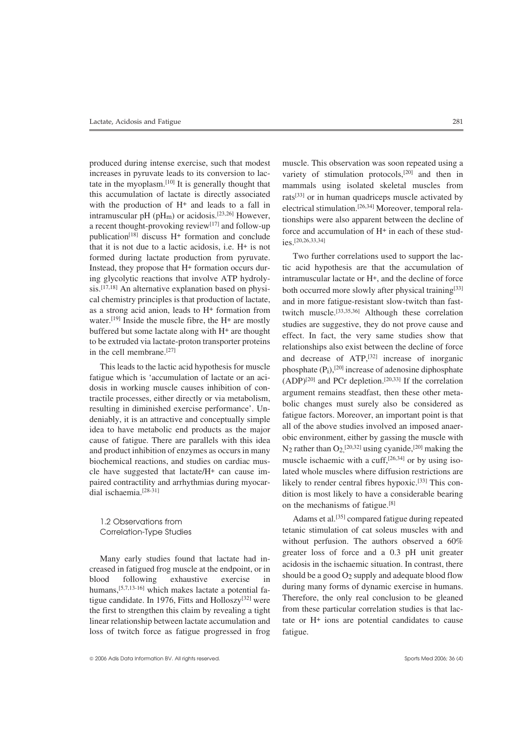increases in pyruvate leads to its conversion to lac-<br>variety of stimulation protocols,<sup>[20]</sup> and then in tate in the myoplasm.<sup>[10]</sup> It is generally thought that mammals using isolated skeletal muscles from this accumulation of lactate is directly associated rate<sup>[33]</sup> or in human quadricens muscle activated by this accumulation of lactate is directly associated rats<sup>[33]</sup> or in human quadriceps muscle activated by with the production of  $H^+$  and leads to a fall in algorized stimulation  $\frac{[26.34]}{[26.34]}$  Moreover temporal ra with the production of  $H^+$  and leads to a fall in<br>intramuscular pH (pH<sub>m</sub>) or acidosis.<sup>[23,26]</sup> However,<br>a recent thought-provoking review<sup>[17]</sup> and follow-up<br>publication<sup>[18]</sup> discuss  $H^+$  formation and conclude<br>publ that it is not due to a lactic acidosis, i.e.  $H^+$  is not formed during lactate production from pyruvate. Two further correlations used to support the laccal chemistry principles is that production of lactate, and in more fatigue-resistant slow-twitch than fast-<br>as a strong acid anion, leads to  $H^+$  formation from twitch muscle  $[33,35,36]$  Although these correlation as a strong acid anion, leads to  $H^+$  formation from twitch muscle.<sup>[33,35,36]</sup> Although these correlation water.<sup>[19]</sup> Inside the muscle fibre, the  $H^+$  are mostly atudies are approaching than do not many anno and

dosis in working muscle causes inhibition of con-<br>tractile processes, either directly or via metabolism,<br>resulting in diminished exercise performance'. Un-<br>deniably, it is an attractive and conceptually simple<br>idea to have biochemical reactions, and studies on cardiac mus- muscle ischaemic with a cuff,<sup>[26,34]</sup> or by using iso-

tigue candidate. In 1976, Fitts and Holloszy<sup>[32]</sup> were Therefore, the only real conclusion to be gleaned the first to strengthen this claim by revealing a tight from these particular correlation studies is that lacthe first to strengthen this claim by revealing a tight linear relationship between lactate accumulation and tate or  $H<sup>+</sup>$  ions are potential candidates to cause loss of twitch force as fatigue progressed in frog fatigue.

produced during intense exercise, such that modest muscle. This observation was soon repeated using a ies.[20,26,33,34]

Instead, they propose that H+ formation occurs dur- tic acid hypothesis are that the accumulation of ing glycolytic reactions that involve ATP hydroly- intramuscular lactate or H+, and the decline of force sis.<sup>[17,18]</sup> An alternative explanation based on physi- both occurred more slowly after physical training<sup>[33]</sup> water.<sup>[15]</sup> Inside the muscle fibre, the H<sup>+</sup> are mostly<br>buffered but some lactate along with H<sup>+</sup> are thought<br>to be extruded via lactate-proton transporter proteins<br>in the cell membrane.<sup>[27]</sup> and decrease of ATP,<sup>[32]</sup> increase of inorganic This leads to the lactic acid hypothesis for muscle<br>fatigue which is 'accumulation of lactate or an aci-<br>dosis in working muscle causes inhibition of con-<br> $(ADP)^{[20]}$  and PCr depletion.<sup>[20,33]</sup> If the correlation<br>dosis i and product inhibition of enzymes as occurs in many  $N_2$  rather than  $O_2$ ,  $[20,32]$  using cyanide,  $[20]$  making the cle have suggested that lactate/ $H^+$  can cause im-<br>lated whole muscles where diffusion restrictions are paired contractility and arrhythmias during myocar-<br>dition is most likely to have a considerable bearing<br>dition is most likely to have a considerable bearing dition is most likely to have a considerable bearing on the mechanisms of fatigue.[8]

1.2 Observations from et al.<sup>[35]</sup> compared fatigue during repeated Correlation-Type Studies tetanic stimulation of cat soleus muscles with and without perfusion. The authors observed a 60% Many early studies found that lactate had in-<br>creased in fatigued frog muscle at the endpoint, or in<br>blood following exhaustive exercise in<br>humans, <sup>[5,7,13-16]</sup> which makes lactate a potential fa-<br>during many forms of dy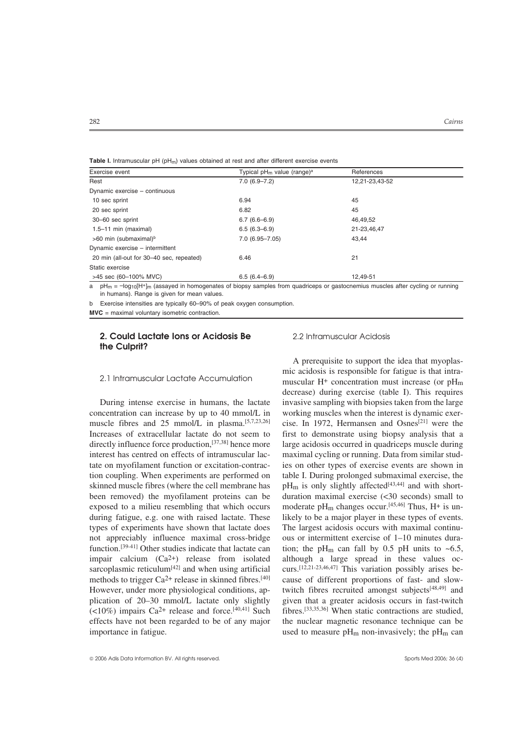| Exercise event                           | Typical $pH_m$ value (range) <sup>a</sup> | References     |  |
|------------------------------------------|-------------------------------------------|----------------|--|
| Rest                                     | $7.0(6.9 - 7.2)$                          | 12,21-23,43-52 |  |
| Dynamic exercise - continuous            |                                           |                |  |
| 10 sec sprint                            | 6.94                                      | 45             |  |
| 20 sec sprint                            | 6.82                                      | 45             |  |
| 30-60 sec sprint                         | $6.7(6.6-6.9)$                            | 46,49,52       |  |
| $1.5-11$ min (maximal)                   | $6.5(6.3 - 6.9)$                          | 21-23,46,47    |  |
| >60 min (submaximal) <sup>b</sup>        | $7.0(6.95 - 7.05)$                        | 43.44          |  |
| Dynamic exercise - intermittent          |                                           |                |  |
| 20 min (all-out for 30-40 sec, repeated) | 6.46                                      | 21             |  |
| Static exercise                          |                                           |                |  |
| >45 sec (60-100% MVC)                    | $6.5(6.4 - 6.9)$                          | 12.49-51       |  |

**Table I.** Intramuscular pH (pHm) values obtained at rest and after different exercise events

 $pH_m = -\log_{10}[H^+]_m$  (assayed in homogenates of biopsy samples from quadriceps or gastocnemius muscles after cycling or running in humans). Range is given for mean values.

b Exercise intensities are typically 60–90% of peak oxygen consumption.

**MVC** = maximal voluntary isometric contraction.

### **2. Could Lactate Ions or Acidosis Be** 2.2 Intramuscular Acidosis **the Culprit?**

concentration can increase by up to 40 mmol/L in working muscles when the interest is dynamic exermuscle fibres and 25 mmol/L in plasma.<sup>[5,7,23,26]</sup> cise. In 1972, Hermansen and Osnes<sup>[21]</sup> were the Increases of extracellular lactate do not seem to first to demonstrate using biopsy analysis that a directly influence force production.<sup>[37,38]</sup> hence more large acidosis occurred in quadriceps muscle during interest has centred on effects of intramuscular lac- maximal cycling or running. Data from similar studtate on myofilament function or excitation-contrac- ies on other types of exercise events are shown in tion coupling. When experiments are performed on table I. During prolonged submaximal exercise, the skinned muscle fibres (where the cell membrane has  $pH_m$  is only slightly affected<sup>[43,44]</sup> and with short-<br>been removed) the myofilament proteins can be duration maximal exercise (<30 seconds) small to been removed) the myofilament proteins can be exposed to a milieu resembling that which occurs moderate  $pH_m$  changes occur.<sup>[45,46]</sup> Thus, H<sup>+</sup> is unduring fatigue, e.g. one with raised lactate. These likely to be a major player in these types of events. types of experiments have shown that lactate does The largest acidosis occurs with maximal continunot appreciably influence maximal cross-bridge ous or intermittent exercise of 1–10 minutes durafunction.<sup>[39-41]</sup> Other studies indicate that lactate can tion; the pH<sub>m</sub> can fall by 0.5 pH units to ~6.5, impair calcium (Ca2+) release from isolated although a large spread in these values ocsarcoplasmic reticulum<sup>[42]</sup> and when using artificial curs.<sup>[12,21-23,46,47]</sup> This variation possibly arises bemethods to trigger Ca<sup>2+</sup> release in skinned fibres.<sup>[40]</sup> cause of different proportions of fast- and slow-However, under more physiological conditions, ap-<br>twitch fibres recruited amongst subjects<sup>[48,49]</sup> and plication of 20–30 mmol/L lactate only slightly given that a greater acidosis occurs in fast-twitch  $\langle$ <10%) impairs Ca<sup>2+</sup> release and force.<sup>[40,41]</sup> Such fibres.<sup>[33,35,36]</sup> When static contractions are studied, effects have not been regarded to be of any major the nuclear magnetic resonance technique can be importance in fatigue. used to measure pH<sub>m</sub> non-invasively; the pH<sub>m</sub> can

A prerequisite to support the idea that myoplasmic acidosis is responsible for fatigue is that intra-<br>2.1 Intramuscular Lactate Accumulation muscular H+ concentration must increase (or pH<sub>m</sub> decrease) during exercise (table I). This requires During intense exercise in humans, the lactate invasive sampling with biopsies taken from the large large acidosis occurred in quadriceps muscle during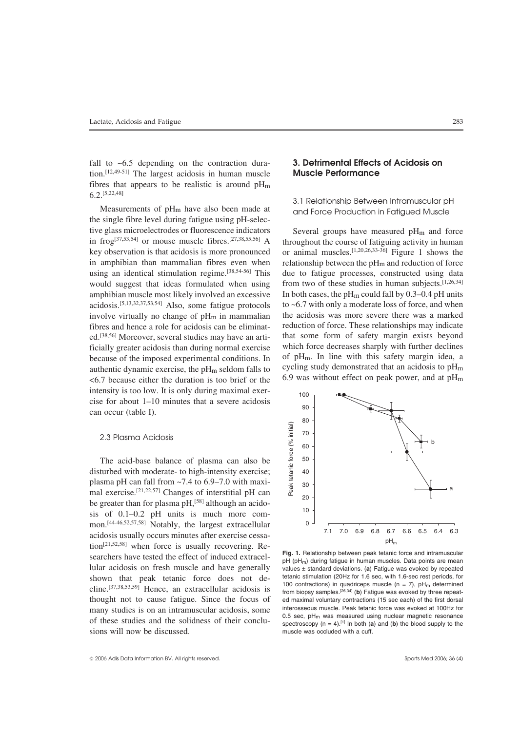fall to ~6.5 depending on the contraction dura- **3. Detrimental Effects of Acidosis on** tion.[12,49-51] The largest acidosis in human muscle **Muscle Performance** fibres that appears to be realistic is around  $pH_m$ 6.2.[5,22,48]

the single fibre level during fatigue using pH-selective glass microelectrodes or fluorescence indicators Several groups have measured  $pH_m$  and force<br>in frog<sup>[37,53,54]</sup> or mouse muscle fibres.<sup>[27,38,55,56]</sup> A throughout the course of fatiguing activity in human key observation is that acidosis is more pronounced or animal muscles.<sup>[1,20,26,33-36]</sup> Figure 1 shows the in amphibian than mammalian fibres even when relationship between the  $\rm{pH}_{m}$  and reduction of force using an identical stimulation regime.<sup>[38,54-56]</sup> This due to fatigue processes, constructed using data would suggest that ideas formulated when using from two of these studies in human subjects.  $[1,26,34]$ amphibian muscle most likely involved an excessive In both cases, the  $pH_m$  could fall by 0.3–0.4 pH units acidosis.<sup>[5,13,32,37,53,54]</sup> Also, some fatigue protocols to ~6.7 with only a moderate loss of force, and when involve virtually no change of  $pH_m$  in mammalian the acidosis was more severe there was a marked fibres and hence a role for acidosis can be eliminat- reduction of force. These relationships may indicate ed.[38,56] Moreover, several studies may have an arti- that some form of safety margin exists beyond ficially greater acidosis than during normal exercise which force decreases sharply with further declines hecause of the imposed experimental conditions In of  $pH_m$ . In line with this safety margin idea, a because of the imposed experimental conditions. In of  $pH_m$ . In line with this safety margin idea, a<br>authentic dynamic exercise, the pH<sub>m</sub> seldom falls to cycling study demonstrated that an acidosis to  $pH_m$ authentic dynamic exercise, the pH<sub>m</sub> seldom falls to cycling study demonstrated that an acidosis to pH<sub>m</sub>  $\epsilon$  6.7 because either the duration is too brief or the 6.9 was without effect on peak power, and at pH<sub>m</sub>  $<$  6.7 because either the duration is too brief or the intensity is too low. It is only during maximal exercise for about 1–10 minutes that a severe acidosis can occur (table I).

### 2.3 Plasma Acidosis

The acid-base balance of plasma can also be disturbed with moderate- to high-intensity exercise; plasma pH can fall from  $\sim$ 7.4 to 6.9–7.0 with maximal exercise.[21,22,57] Changes of interstitial pH can be greater than for plasma  $pH<sub>1</sub><sup>[58]</sup>$  although an acidosis of 0.1–0.2 pH units is much more common.[44-46,52,57,58] Notably, the largest extracellular acidosis usually occurs minutes after exercise cessation[21,52,58] when force is usually recovering. Researchers have tested the effect of induced extracellular acidosis on fresh muscle and have generally shown that peak tetanic force does not decline.[37,38,53,59] Hence, an extracellular acidosis is thought not to cause fatigue. Since the focus of many studies is on an intramuscular acidosis, some of these studies and the solidness of their conclusions will now be discussed.

3.1 Relationship Between Intramuscular pH Measurements of  $pH_m$  have also been made at and Force Production in Fatigued Muscle

throughout the course of fatiguing activity in human



**Fig. 1.** Relationship between peak tetanic force and intramuscular pH (pH<sub>m</sub>) during fatigue in human muscles. Data points are mean values ± standard deviations. (**a**) Fatigue was evoked by repeated tetanic stimulation (20Hz for 1.6 sec, with 1.6-sec rest periods, for 100 contractions) in quadriceps muscle ( $n = 7$ ),  $pH_m$  determined from biopsy samples.[26,34] (**b**) Fatigue was evoked by three repeated maximal voluntary contractions (15 sec each) of the first dorsal interosseous muscle. Peak tetanic force was evoked at 100Hz for 0.5 sec,  $pH_m$  was measured using nuclear magnetic resonance spectroscopy  $(n = 4)$ .<sup>[1]</sup> In both (**a**) and (**b**) the blood supply to the muscle was occluded with a cuff.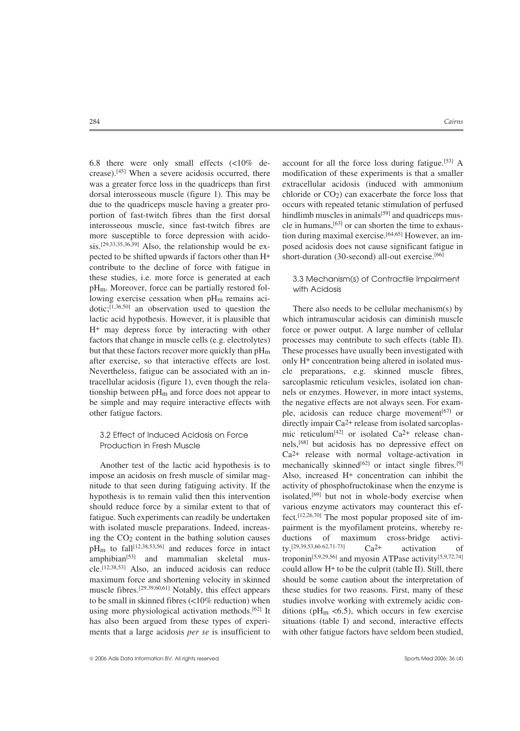crease).[45] When a severe acidosis occurred, there modification of these experiments is that a smaller was a greater force loss in the quadriceps than first extracellular acidosis (induced with ammonium dorsal interosseous muscle (figure 1). This may be chloride or CO2) can exacerbate the force loss that due to the quadriceps muscle having a greater pro- occurs with repeated tetanic stimulation of perfused portion of fast-twitch fibres than the first dorsal hindlimb muscles in animals<sup>[59]</sup> and quadriceps musinterosseous muscle, since fast-twitch fibres are cle in humans.<sup>[63]</sup> or can shorten the time to exhausmore susceptible to force depression with acido-<br>tion during maximal exercise.<sup>[64,65]</sup> However, an im $s$ is.<sup>[29,33,35,36,39]</sup> Also, the relationship would be ex- posed acidosis does not cause significant fatigue in pected to be shifted upwards if factors other than H+ short-duration (30-second) all-out exercise.[66] contribute to the decline of force with fatigue in these studies, i.e. more force is generated at each 3.3 Mechanism(s) of Contractile Impairment pHm. Moreover, force can be partially restored fol- with Acidosis lowing exercise cessation when pH<sub>m</sub> remains aci $dotic;$ <sup>[1,36,50]</sup> an observation used to question the There also needs to be cellular mechanism(s) by lactic acid hypothesis. However, it is plausible that which intramuscular acidosis can diminish muscle H+ may depress force by interacting with other force or power output. A large number of cellular factors that change in muscle cells (e.g. electrolytes) processes may contribute to such effects (table II). but that these factors recover more quickly than  $pH_m$  These processes have usually been investigated with after exercise, so that interactive effects are lost. only H+ concentration being altered in isolated mus-Nevertheless, fatigue can be associated with an in- cle preparations, e.g. skinned muscle fibres, tracellular acidosis (figure 1), even though the rela- sarcoplasmic reticulum vesicles, isolated ion chantionship between pH<sub>m</sub> and force does not appear to nels or enzymes. However, in more intact systems, be simple and may require interactive effects with the negative effects are not always seen. For examother fatigue factors. ple, acidosis can reduce charge movement<sup>[67]</sup> or

should reduce force by a similar extent to that of various enzyme activators may counteract this effatigue. Such experiments can readily be undertaken fect.<sup>[12,26,70]</sup> The most popular proposed site of imwith isolated muscle preparations. Indeed, increas-<br>
pairment is the myofilament proteins, whereby reing the CO<sub>2</sub> content in the bathing solution causes ductions of maximum cross-bridge activi-<br>pH<sub>m</sub> to fall<sup>[12,38,53,56]</sup> and reduces force in intact ty<sup>[29,39,53,60-62,71-73]</sup> Ca<sup>2+</sup> activation of cle.<sup>[12,38,53]</sup> Also, an induced acidosis can reduce could allow  $H<sup>+</sup>$  to be the culprit (table II). Still, there to be small in skinned fibres (<10% reduction) when studies involve working with extremely acidic con-

6.8 there were only small effects  $\langle 50\%$  de- account for all the force loss during fatigue.<sup>[53]</sup> A

the negative effects are not always seen. For examdirectly impair  $Ca^{2+}$  release from isolated sarcoplas-3.2 Effect of Induced Acidosis on Force  $\qquad \qquad$  mic reticulum<sup>[42]</sup> or isolated Ca<sup>2+</sup> release chan-Production in Fresh Muscle **but acidosis has no depressive effect** on Ca2+ release with normal voltage-activation in Another test of the lactic acid hypothesis is to mechanically skinned<sup>[62]</sup> or intact single fibres.<sup>[9]</sup> impose an acidosis on fresh muscle of similar mag- Also, increased H+ concentration can inhibit the nitude to that seen during fatiguing activity. If the activity of phosphofructokinase when the enzyme is hypothesis is to remain valid then this intervention isolated,<sup>[69]</sup> but not in whole-body exercise when  $pH_m$  to fall<sup>[12,38,53,56]</sup> and reduces force in intact ty,<sup>[29,39,53,60-62,71-73]</sup> Ca<sup>2+</sup> activation of amphibian<sup>[53]</sup> and mammalian skeletal mus- troponin<sup>[5,9,29,56]</sup> and myosin ATPase activity<sup>[5,9,72,74]</sup> troponin<sup>[5,9,29,56]</sup> and myosin ATPase activity<sup>[5,9,72,74]</sup> maximum force and shortening velocity in skinned should be some caution about the interpretation of muscle fibres.<sup>[29,39,60,61]</sup> Notably, this effect appears these studies for two reasons. First, many of these using more physiological activation methods.<sup>[62]</sup> It ditions (pH<sub>m</sub> <6.5), which occurs in few exercise has also been argued from these types of experi-<br>situations (table I) and second, interactive effects ments that a large acidosis *per se* is insufficient to with other fatigue factors have seldom been studied,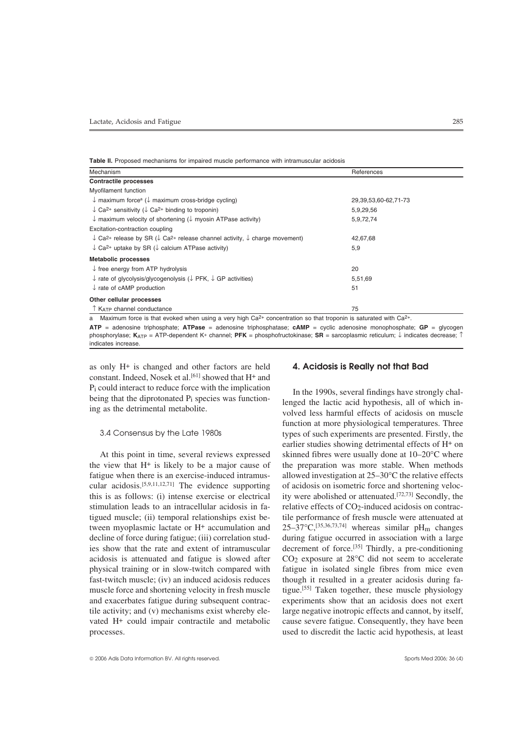**Table II.** Proposed mechanisms for impaired muscle performance with intramuscular acidosis

| Mechanism                                                                                                                                 | References               |
|-------------------------------------------------------------------------------------------------------------------------------------------|--------------------------|
| <b>Contractile processes</b>                                                                                                              |                          |
| Myofilament function                                                                                                                      |                          |
| $\downarrow$ maximum force <sup>a</sup> ( $\downarrow$ maximum cross-bridge cycling)                                                      | 29, 39, 53, 60-62, 71-73 |
| $\downarrow$ Ca <sup>2+</sup> sensitivity ( $\downarrow$ Ca <sup>2+</sup> binding to troponin)                                            | 5,9,29,56                |
| $\downarrow$ maximum velocity of shortening ( $\downarrow$ myosin ATPase activity)                                                        | 5,9,72,74                |
| Excitation-contraction coupling                                                                                                           |                          |
| $\downarrow$ Ca <sup>2+</sup> release by SR ( $\downarrow$ Ca <sup>2+</sup> release channel activity, $\downarrow$ charge movement)       | 42,67,68                 |
| $\downarrow$ Ca <sup>2+</sup> uptake by SR ( $\downarrow$ calcium ATPase activity)                                                        | 5,9                      |
| <b>Metabolic processes</b>                                                                                                                |                          |
| $\downarrow$ free energy from ATP hydrolysis                                                                                              | 20                       |
| $\downarrow$ rate of glycolysis/glycogenolysis ( $\downarrow$ PFK, $\downarrow$ GP activities)                                            | 5,51,69                  |
| $\downarrow$ rate of cAMP production                                                                                                      | 51                       |
| Other cellular processes                                                                                                                  |                          |
| ↑ К <sub>АТР</sub> channel conductance                                                                                                    | 75                       |
| a Maximum force is that evoked when using a very high Ca <sub>2</sub> + concentration so that troponin is saturated with Ca <sub>2+</sub> |                          |

a Maximum force is that evoked when using a very high Ca2+ concentration so that troponin is saturated with Ca2+.

**ATP** = adenosine triphosphate; **ATPase** = adenosine triphosphatase; **cAMP** = cyclic adenosine monophosphate; **GP** = glycogen phosphorylase; **K**ATP = ATP-dependent K+ channel; **PFK** = phosphofructokinase; **SR** = sarcoplasmic reticulum; ↓ indicates decrease; ↑ indicates increase.

as only H+ is changed and other factors are held **4. Acidosis is Really not that Bad** constant. Indeed, Nosek et al.<sup>[61]</sup> showed that H+ and  $P_i$  could interact to reduce force with the implication<br>being that the diprotonated  $P_i$  species was function-<br>ing as the detrimental metabolite.<br>wolved less harmful effects of acidosis on muscle

the view that  $H^+$  is likely to be a major cause of the preparation was more stable. When methods fatigue when there is an exercise-induced intramus-<br>allowed investigation at  $25-30^{\circ}$ C the relative effects cular acidosis.<sup>[5,9,11,12,71]</sup> The evidence supporting of acidosis on isometric force and shortening velocthis is as follows: (i) intense exercise or electrical ity were abolished or attenuated.<sup>[72,73]</sup> Secondly, the stimulation leads to an intracellular acidosis in fa- relative effects of CO2-induced acidosis on contractigued muscle; (ii) temporal relationships exist be- tile performance of fresh muscle were attenuated at tween myoplasmic lactate or H+ accumulation and  $25-37^{\circ}C$ ,<sup>[35,36,73,74]</sup> whereas similar pH<sub>m</sub> changes decline of force during fatigue; (iii) correlation stud- during fatigue occurred in association with a large ies show that the rate and extent of intramuscular decrement of force.<sup>[35]</sup> Thirdly, a pre-conditioning acidosis is attenuated and fatigue is slowed after  $CO<sub>2</sub>$  exposure at  $28^{\circ}$ C did not seem to accelerate physical training or in slow-twitch compared with fatigue in isolated single fibres from mice even fast-twitch muscle; (iv) an induced acidosis reduces though it resulted in a greater acidosis during famuscle force and shortening velocity in fresh muscle tigue.<sup>[55]</sup> Taken together, these muscle physiology and exacerbates fatigue during subsequent contrac- experiments show that an acidosis does not exert tile activity; and (v) mechanisms exist whereby ele- large negative inotropic effects and cannot, by itself, vated H+ could impair contractile and metabolic cause severe fatigue. Consequently, they have been processes. used to discredit the lactic acid hypothesis, at least

function at more physiological temperatures. Three 3.4 Consensus by the Late 1980s types of such experiments are presented. Firstly, the earlier studies showing detrimental effects of H+ on At this point in time, several reviews expressed skinned fibres were usually done at  $10-20^{\circ}$ C where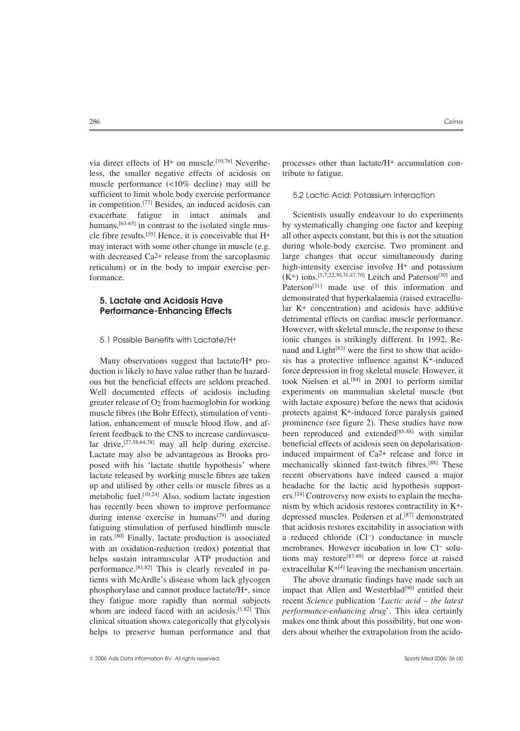less, the smaller negative effects of acidosis on tribute to fatigue. muscle performance (<10% decline) may still be sufficient to limit whole body exercise performance 5.2 Lactic Acid: Potassium Interaction in competition.[77] Besides, an induced acidosis can exacerbate fatigue in intact animals and Scientists usually endeavour to do experiments humans.<sup>[63-65]</sup> in contrast to the isolated single mus- by systematically changing one factor and keeping

helps sustain intramuscular ATP production and performance.<sup>[81,82]</sup> This is clearly revealed in patients with McArdle's disease whom lack glycogen The above dramatic findings have made such an phosphorylase and cannot produce lactate/H<sup>+</sup>, since impact that Allen and Westerblad<sup>[90]</sup> entitled their they fatigue more rapidly than normal subjects recent *Science* publication '*Lactic acid – the latest* whom are indeed faced with an acidosis.<sup>[1,82]</sup> This *performance-enhancing drug*'. This idea certainly clinical situation shows categorically that glycolysis makes one think about this possibility, but one wonhelps to preserve human performance and that ders about whether the extrapolation from the acido-

via direct effects of  $H^+$  on muscle.<sup>[10,76]</sup> Neverthe-<br>processes other than lactate/ $H^+$  accumulation con-

by systematically changing one factor and keeping cle fibre results.<sup>[55]</sup> Hence, it is conceivable that  $H^+$  all other aspects constant, but this is not the situation may interact with some other change in muscle (e.g. during whole-body exercise. Two prominent and with decreased Ca<sup>2+</sup> release from the sarcoplasmic large changes that occur simultaneously during reticulum) or in the body to impair exercise per-<br>high-intensity exercise involve H+ and potassium formance.  $(K^+)$  ions.<sup>[5,7,22,30,31,47,70]</sup> Leitch and Paterson<sup>[30]</sup> and Paterson<sup>[31]</sup> made use of this information and demonstrated that hyperkalaemia (raised extracellu- **5. Lactate and Acidosis Have Performance-Enhancing Effects** lar K<sup>+</sup> concentration) and acidosis have additive detrimental effects on cardiac muscle performance. However, with skeletal muscle, the response to these 5.1 Possible Benefits with Lactate/H+ ionic changes is strikingly different. In 1992, Renaud and Light<sup>[83]</sup> were the first to show that acido-Many observations suggest that lactate/H<sup>+</sup> pro- sis has a protective influence against K<sup>+</sup>-induced duction is likely to have value rather than be hazard-<br>force depression in frog skeletal muscle. However, it ous but the beneficial effects are seldom preached. took Nielsen et al.<sup>[84]</sup> in 2001 to perform similar Well documented effects of acidosis including experiments on mammalian skeletal muscle (but greater release of O2 from haemoglobin for working with lactate exposure) before the news that acidosis muscle fibres (the Bohr Effect), stimulation of venti-<br>protects against K<sup>+</sup>-induced force paralysis gained lation, enhancement of muscle blood flow, and af- prominence (see figure 2). These studies have now ferent feedback to the CNS to increase cardiovascu-<br>been reproduced and extended<sup>[85-88]</sup> with similar lar drive, [27,58,64,78] may all help during exercise. beneficial effects of acidosis seen on depolarisation-Lactate may also be advantageous as Brooks pro- induced impairment of  $Ca<sup>2+</sup>$  release and force in posed with his 'lactate shuttle hypothesis' where mechanically skinned fast-twitch fibres.<sup>[88]</sup> These lactate released by working muscle fibres are taken recent observations have indeed caused a major up and utilised by other cells or muscle fibres as a headache for the lactic acid hypothesis supportmetabolic fuel.<sup>[10,24]</sup> Also, sodium lactate ingestion ers.<sup>[24]</sup> Controversy now exists to explain the mechahas recently been shown to improve performance nism by which acidosis restores contractility in K<sup>+</sup>during intense exercise in humans  $[79]$  and during depressed muscles. Pedersen et al.  $[87]$  demonstrated fatiguing stimulation of perfused hindlimb muscle that acidosis restores excitability in association with in rats.<sup>[80]</sup> Finally, lactate production is associated a reduced chloride (Cl<sup>-</sup>) conductance in muscle with an oxidation-reduction (redox) potential that membranes. However incubation in low Cl<sup>-</sup> solu-<br>helps sustain intramuscular ATP production and tions may restore<sup>[87-89]</sup> or depress force at raised extracellular  $K^{+[4]}$  leaving the mechanism uncertain.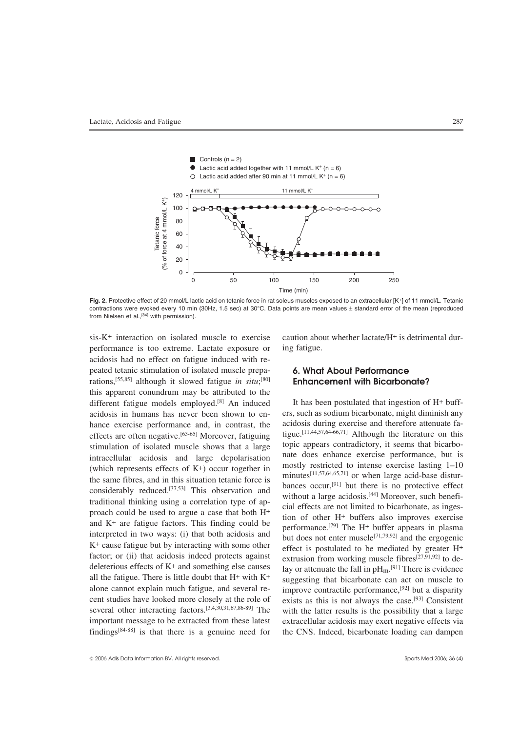

Fig. 2. Protective effect of 20 mmol/L lactic acid on tetanic force in rat soleus muscles exposed to an extracellular [K+] of 11 mmol/L. Tetanic contractions were evoked every 10 min (30Hz, 1.5 sec) at 30°C. Data points are mean values  $\pm$  standard error of the mean (reproduced from Nielsen et al.,<sup>[84]</sup> with permission).

performance is too extreme. Lactate exposure or ing fatigue. acidosis had no effect on fatigue induced with repeated tetanic stimulation of isolated muscle prepa- **6. What About Performance** rations,[55,85] although it slowed fatigue *in situ*; this apparent conundrum may be attributed to the different fatigue models employed.<sup>[8]</sup> An induced It has been postulated that ingestion of  $H^+$  buffacidosis in humans has never been shown to en-<br>hance exercise performance and in contrast the acidosis during exercise and therefore attenuate fahance exercise performance and, in contrast, the acidosis during exercise and therefore attenuate fa-<br>  $\epsilon$  affects are often negative [63-65] Moreover fatiguing tigue.<sup>[11,44,57,64-66,71]</sup> Although the literature on this effects are often negative.<sup>[63-65]</sup> Moreover, fatiguing tigue.<sup>[11,44,57,64-66,71]</sup> Although the literature on this estimulation of isolated muscle shows that a large topic appears contradictory, it seems that bicarbostimulation of isolated muscle shows that a large topic appears contradictory, it seems that bicarbo-<br>introcellular acidosis, and large depolarisation and does enhance exercise performance, but is intracellular acidosis and large depolarisation nate does enhance exercise performance, but is<br>
(which represents effects of K+) occur together in mostly restricted to intense exercise lasting 1–10<br>
the same fibres, and i factor; or (ii) that acidosis indeed protects against extrusion from working muscle fibres<sup>[27,91,92]</sup> to dedeleterious effects of  $K^+$  and something else causes all the fatigue. There is little doubt that  $H^+$  with  $K^+$ all the fatigue. There is little doubt that  $H^+$  with  $K^+$  suggesting that bicarbonate can act on muscle to alone cannot explain much fatigue, and several re-<br>improve contractile performance.<sup>[92]</sup> but a disparity alone cannot explain much fatigue, and several re-<br>
cent studies have looked more closely at the role of exists as this is not always the case  $[93]$  Consistent several other interacting factors.<sup>[3,4,30,31,67,86-89]</sup> The with the latter results is the possibility that a large important message to be extracted from these latest extracellular acidosis may exert negative effects via findings $[84-88]$  is that there is a genuine need for the CNS. Indeed, bicarbonate loading can dampen

sis-K+ interaction on isolated muscle to exercise caution about whether lactate/H+ is detrimental dur-

## [80] **Enhancement with Bicarbonate?**

lay or attenuate the fall in  $pH_m$ .<sup>[91]</sup> There is evidence exists as this is not always the case.<sup>[93]</sup> Consistent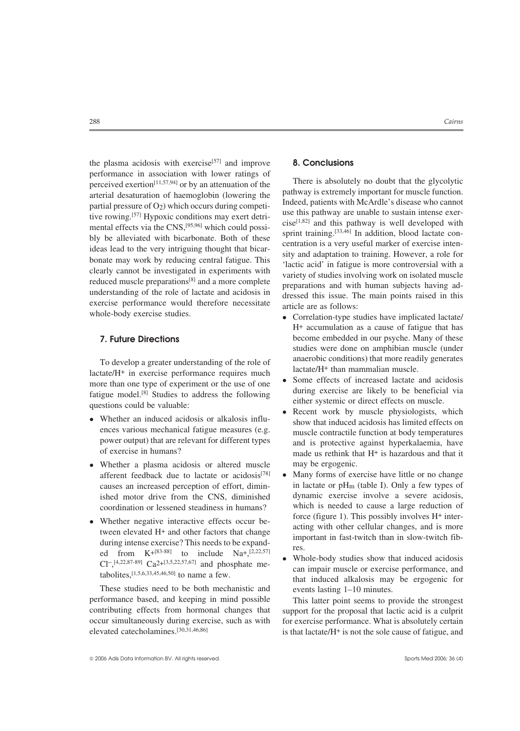the plasma acidosis with exercise[57] and improve **8. Conclusions** performance in association with lower ratings of<br>perceived exertion<sup>[11,57,94</sup>] or by an attenuation of the<br>arterial desaturation of haemoglobin (lowering the<br>pathway is extremely important for muscle function.<br>partial pre whole-body exercise studies.<br>
• Correlation-type studies have implicated lactate/

To develop a greater understanding of the role of anaerobic conditions) that more readily generates lactate/H+ in exercise performance requires much<br>actate/H+ than mammalian muscle.<br>Some effects of increased lactate and ac Some effects of increased lactate and acidosis<br>
fatigue model.<sup>[8]</sup> Studies to address the following<br>
questions could be valuable:<br> **•** Recent work by muscle physiologists, which

- 
- Whether a plasma acidosis or altered muscle may be ergogenic.<br>
afferent feedback due to lactate or acidosis<sup>[78]</sup> Many forms of exercise ished motor drive from the CNS, diminished
- ed from  $K^{+[83-88]}$  to include  $Na^{+, [2,22,57]}$

These studies need to be both mechanistic and events lasting 1–10 minutes. performance based, and keeping in mind possible This latter point seems to provide the strongest

- H+ accumulation as a cause of fatigue that has **7. Future Directions** become embedded in our psyche. Many of these studies were done on amphibian muscle (under
	-
- Whether an induced acidosis or alkalosis influ-<br>ences various mechanical fatigue measures (e.g. muscle contractile function at body temperatures ences various mechanical fatigue measures (e.g. muscle contractile function at body temperatures<br>power output) that are relevant for different types and is protective against hyperkalaemia, have power output) that are relevant for different types and is protective against hyperkalaemia, have<br>of exercise in humans? made us rethink that  $H^+$  is hazardous and that it
- Many forms of exercise have little or no change<br>in lactate or  $pH_m$  (table I). Only a few types of causes an increased perception of effort, dimin-<br>in lactate or  $pH_m$  (table I). Only a few types of<br>ished motor drive from the CNS diminished dynamic exercise involve a severe acidosis, coordination or lessened steadiness in humans?<br>Which is needed to cause a large reduction of<br>force (figure 1). This possibly involves H<sup>+</sup> inter-• Whether negative interactive effects occur be-<br>tween elevated H<sup>+</sup> and other factors that change<br>during intense exercise? This needs to be expand-<br>ed from  $K^{+[83-88]}$  to include  $Na^{+, [2,22,57]}$ 
	- $Cl^{-1,4,22,87-89}$   $Ca^{2+13,5,22,57,67}$  and phosphate me-<br>tabolites,<sup>[1,5,6,33,45,46,50]</sup> to name a few. <br>tabolites,<sup>[1,5,6,33,45,46,50]</sup> to name a few. <br>tabolites,<sup>[1,5,6,33,45,46,50]</sup> to name a few. <br>that induced alkalos

contributing effects from hormonal changes that support for the proposal that lactic acid is a culprit occur simultaneously during exercise, such as with for exercise performance. What is absolutely certain elevated catecholamines.<sup>[30,31,46,86]</sup> is that lactate/H<sup>+</sup> is not the sole cause of fatisule, and is that lactate/ $H^+$  is not the sole cause of fatigue, and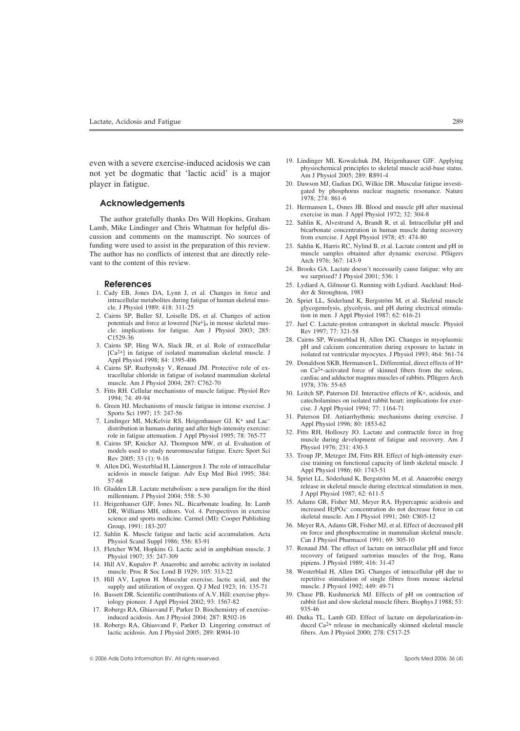player in fatigue. 20. Dawson MJ, Gadian DG, Wilkie DR. Muscular fatigue investi-

The author gratefully thanks Drs Will Hopkins, Graham<br>Lamb, Mike Lindinger and Chris Whatman for helpful dis-<br>Lamb, Mike Lindinger and Chris Whatman for helpful dis-<br>bicarbonate concentration in human muscle during recover cussion and comments on the manuscript. No sources of from exercise. J Appl Physiol 1978; 45: 474-80 funding were used to assist in the preparation of this review. 23. Sahlin K, Harris RC, Nylind B, et al. Lactate content and pH in<br>The author has no conflicts of interest that are directly rele-<br>muscle samples obtained aft The author has no conflicts of interest that are directly rele-<br>
want to the content of this review<br>
Arch 1976: 367: 143-9 vant to the content of this review.

- 1. Cady EB, Jones DA, Lynn J, et al. Changes in force and intracellular metabolites during fatigue of human skeletal musintracellular metabolites during fatigue of human skeletal mus-<br>cle. J Physiol 1989; 418: 311-25<br>glycogenolysis, glycolysis, and pH during electrical stimula-<br>glycogenolysis, glycolysis, and pH during electrical stimula-
- 2. Cairns SP, Buller SJ, Loiselle DS, et al. Changes of action potentials and force at lowered  $[Na<sup>+</sup>]_0$  in mouse skeletal muscle: implications for fatigue. Am J Physiol 2003; 285: Rev 1997; 77: 321-58<br>C1529-36<br> $\frac{28}{2}$  Coime SB Wortenbled
- 
- 
- 
- 
- 
- 5. Fitts RH. Cellular mechanisms of muscle fatigue. Physiol Rev<br>
1994; 74: 49-94<br>
6. Green HJ. Mechanisms of muscle fatigue in intense exercise. J<br>
6. Green HJ. Mechanisms of muscle fatigue in intense exercise. J<br>
5. Carin
- 
- 
- science and sports medicine. Carmel (MI): Cooper Publishing Group, 1991: 183-207
- 12. Sahlin K. Muscle fatigue and lactic acid accumulation. Acta on force and phosphocreatine in mammalia<br>Physiol Pharmacol 1991; 69: 305-10<br>Can J Physiol Pharmacol 1991; 69: 305-10 Physiol Scand Suppl 1986; 556: 83-91
- 
- 14. Hill AV, Kupalov P. Anaerobic and aerobic activity in isolated muscle. Proc R Soc Lond B 1929; 105: 313-22
- 15. Hill AV, Lupton H. Muscular exercise, lactic acid, and the repetitive stimulation of single fibres in the repetitive stimulation of single fibres in the repetitive stimulation of single superpetitive stimulation of oxy supply and utilization of oxygen. Q J Med 1923; 16: 135-71
- 
- 17. Robergs RA, Ghiasvand F, Parker D. Biochemistry of exercise-<br>induced acidosis. Am J Physiol 2004; 287: R502-16 40. Dutka T
- 18. Robergs RA, Ghiasvand F, Parker D. Lingering construct of duced Ca<sup>2+</sup> release in mechanically skinned sactic acidosis. Am J Physiol 2005; 289: R904-10 fibers. Am J Physiol 2000; 278: C517-25 lactic acidosis. Am J Physiol 2005; 289: R904-10
- even with a severe exercise-induced acidosis we can<br>
<sup>19.</sup> Lindinger MI, Kowalchuk JM, Heigenhauser GJF. Applying<br>
not yet be dogmatic that 'lactic acid' is a major<br>
Am J Physiol 2005; 289: R891-4
	- gated by phosphorus nuclear magnetic resonance. Nature
	- **Acknowledgements**<br>
	21. Hermansen L, Osnes JB. Blood and muscle pH after maximal<br>
	<sup>21</sup>. Hermansen L, Osnes JB. Blood and muscle pH after maximal<br>
	<sup>21</sup>. Hermansen L, Osnes JB. Blood and muscle pH after maximal
		-
		-
		- 24. Brooks GA. Lactate doesn't necessarily cause fatigue: why are we surprised? J Physiol 2001; 536: 1
	- **References** 25. Lydiard A, Gilmour G. Running with Lydiard. Auckland: Hod-Cady EB, Jones DA, Lynn J, et al. Changes in force and der & Stroughton, 1983
		- glycogenolysis, glycolysis, and pH during electrical stimula-<br>tion in men. J Appl Physiol 1987; 62: 616-21
		- 27. Juel C. Lactate-proton cotransport in skeletal muscle. Physiol
	- C1529-36 28. Cairns SP, Westerblad H, Allen DG. Changes in myoplasmic 3. Cairns SP, Hing WA, Slack JR, et al. Role of extracellular pH and calcium concentration during exposure to lactate in [Ca<sup>2+</sup>] in fatigue of isolate
	- [Ca<sup>2+</sup>] in fatigue of isolated mammalian skeletal muscle. J isolated rat ventricular myocytes. J Physiol 1993; 464: 561-74 Appl Physiol 1998; 84: 1395-406 29. Donaldson SKB, Hermansen L. Differential, direct effects of H tracellular chloride in fatigue of isolated mammalian skeletal<br>muscle. Am J Physiol 2004; 287: C762-70<br>5. Fitts RH. Cellular mechanisms of muscle fatigue. Physiol Rev<br>5. Fitts RH. Cellular mechanisms of muscle fatigue. Phy
		-
		-
		-
		-
		-
- 10. Gladden LB. Lactate metabolism: a new paradigm for the third<br>
millennium. J Physiol 2004; 558: 5-30<br>
11. Heigenhauser GJF, Jones NL. Bicarbonate loading. In: Lamb<br>
DR, Williams MH, editors. Vol. 4. Perspectives in exer
	- 36. Meyer RA, Adams GR, Fisher MJ, et al. Effect of decreased pH on force and phosphocreatine in mammalian skeletal muscle.
- 13. Fletcher WM, Hopkins G. Lactic acid in amphibian muscle. J 37. Renaud JM. The effect of lactate on intracellular pH and force Physiol 1907; 35: 247-309<br>
Physiol 1907; 35: 247-309<br>
Fill AV. Kunalov P. Anaerobic and aerobic activity in isolated<br>
pipiens. J Physiol 1989; 416: 31-47
	- 38. Westerblad H, Allen DG. Changes of intracellular pH due to repetitive stimulation of single fibres from mouse skeletal
- 16. Bassett DR. Scientific contributions of A.V. Hill: exercise phys- 39. Chase PB, Kushmerick MJ. Effects of pH on contraction of iology pioneer. J Appl Physiol 2002; 93: 1567-82 rabbit fast and slow skeletal muscle fibers. Biophys J 1988; 53:
	- 40. Dutka TL, Lamb GD. Effect of lactate on depolarization-in-<br>duced  $Ca^{2+}$  release in mechanically skinned skeletal muscle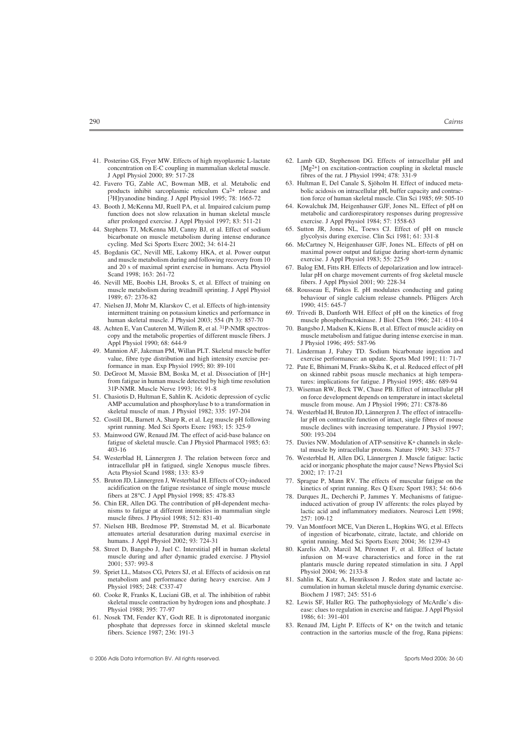- concentration on E-C coupling in mammalian skeletal muscle. J Appl Physiol 2000; 89: 517-28 fibres of the rat. J Physiol 1994; 478: 331-9
- 42. Favero TG, Zable AC, Bowman MB, et al. Metabolic end 63. Hultman E, Del Canale S, Sjöholm H. Effect of induced meta-<br>
products inhibit sarcoplasmic reticulum Ca<sup>2+</sup> release and bolic acidosis on intracellular pH, buffe
- after prolonged exercise. J Appl Physiol 1997; 83: 511-21<br>44. Stephens TJ, McKenna MJ, Canny BJ, et al. Effect of sodium
- bicarbonate on muscle metabolism during intense endurance glycolysis during exercise. Clin Sci 1981; 61: 331-8 cycling. Med Sci Sports Exerc 2002; 34: 614-21 66. McCartney N, Heigenhauser GJF, Jones NL. Effects of pH on
- and muscle metabolism during and following recovery from 10 exercise. J Appl Physiol 1983; 55: 225-9 and 20 s of maximal sprint exercise in humans. Acta Physiol 67. Balog EM, Fitts RH. Effects of depolarizat and 20 s of maximal sprint exercise in humans. Acta Physiol 67. Balog EM, Fitts RH. Effects of depolarization and low intracel-<br>Scand 1998; 163: 261-72<br>lular pH on charge movement currents of frog skeletal muscle
- 46. Nevill ME, Boobis LH, Brooks S, et al. Effect of training on muscle metabolism during treadmill sprinting. J Appl Physiol 68. Rousseau E, Pinkos E. pH modulates conducting and gating
- 47. Nielsen JJ, Mohr M, Klarskov C, et al. Effects of high-intensity 1990; 415: 645-7 intermittent training on potassium kinetics and performance in 69. Trivedi B, Danfort
- Appl Physiol 1990; 68: 644-9 J Physiol 1996; 495: 587-96
- 49. Mannion AF, Jakeman PM, Willan PLT. Skeletal muscle buffer 71. Linderman J, Fahey TD. Sodium bicarbonate ingestion and value, fibre type distribution and high intensity exercise per-<br>formance: an update. Sports Med 1991; 11: 71-7<br>72. Pate E, Bhimani M, Franks-Skiba K, et al. Reduced effect of pH
- from fatigue in human muscle detected by high time resolution tures: implications for fatigue. J Physiol 1995; 486: 689-94
- 51. Chasiotis D, Hultman E, Sahlin K. Acidotic depression of cyclic on force development depends on temperature in intact skells AMP accumulation and phosphorylase b to a transformation in muscle from mouse. Am J Physiol 1 AMP accumulation and phosphorylase b to a transformation in skeletal muscle of man. J Physiol 1982; 335: 197-204
- 
- 53. Mainwood GW, Renaud JM. The effect of acid-base balance on fatigue of skeletal muscle. Can J Physiol Pharmacol 1985; 63: fatigue of skeletal muscle. Can J Physiol Pharmacol 1985; 63: 75. Davies NW. Modulation of ATP-sensitive K+ channels in skele-
- 54. Westerblad H, Lännergren J. The relation between force and 76. Westerblad H, Allen DG, Lännergren J. Muscle fatigue: lactic Acta Physiol Scand 1988; 133: 83-9 2002; 17: 17-21
- 55. Bruton JD, Lännergren J, Westerblad H. Effects of CO2-induced 77. Sprague P, Mann RV. The effects of muscular fatigue on the acidification on the fatigue resistance of single mouse muscle<br>
fibers at 28°C. J Appl Physiol 1998; 85: 478-83 78. Darques JL, Decherchi P, Jammes Y. Mechanisms of fatigue-
- muscle fibres. J Physiol 1998: 512: 831-40 257: 109-12
- 57. Nielsen HB, Bredmose PP, Strømstad M, et al. Bicarbonate 79. Van Montfoort MCE, Van Dieren L, Hopkins WG, et al. Effects
- 58. Street D, Bangsbo J, Juel C. Interstitial pH in human skeletal 80. Karelis AD, Marcil M, Péronnet F, et al. Effect of lactate muscle during and after dynamic graded exercise. J Physiol infusion on M-wave characteristic
- 59. Spriet LL, Matsos CG, Peters SJ, et al. Effects of acidosis on rat Physiol 2004; 96: 2133-8 metabolism and performance during heavy exercise. Am J 81. Sahlin K, Katz A, Henriksson J. Redox state and lactate ac-
- 60. Cooke R, Franks K, Luciani GB, et al. The inhibition of rabbit skeletal muscle contraction by hydrogen ions and phosphate. J 82. Lewis SF, Haller RG. The pathophysiology of McArdle's dis-
- 61. Nosek TM, Fender KY, Godt RE. It is diprotonated inorganic 1986; 61: 391-401<br>phosphate that depresses force in skinned skeletal muscle 83. Renaud JM, Light P. Effects of K<sup>+</sup> on the twitch and tetanic phosphate that depresses force in skinned skeletal muscle fibers. Science 1987; 236: 191-3
- 41. Posterino GS, Fryer MW. Effects of high myoplasmic L-lactate 62. Lamb GD, Stephenson DG. Effects of intracellular pH and concentration on E-C coupling in mammalian skeletal muscle.  $[Me^{2+1}$  on excitation-contraction
	- bolic acidosis on intracellular pH, buffer capacity and contrac-[3H]ryanodine binding. J Appl Physiol 1995; 78: 1665-72 tion force of human skeletal muscle. Clin Sci 1985; 69: 505-10
- 43. Booth J, McKenna MJ, Ruell PA, et al. Impaired calcium pump 64. Kowalchuk JM, Heigenhauser GJF, Jones NL. Effect of pH on function does not slow relaxation in human skeletal muscle metabolic and cardiorespiratory responses during progressive after prolonged exercise. J Appl Physiol 1984; 57: 1558-63
	- 65. Sutton JR, Jones NL, Toews CJ. Effect of pH on muscle
- 45. Bogdanis GC, Nevill ME, Lakomy HKA, et al. Power output maximal power output and fatigue during short-term dynamic
	- lular pH on charge movement currents of frog skeletal muscle<br>fibers. J Appl Physiol 2001; 90: 228-34
	- 1989; 67: 2376-82 behaviour of single calcium release channels. Pflugers Arch ¨
- intermittent training on potassium kinetics and performance in 69. Trivedi B, Danforth WH. Effect of pH on the kinetics of frog human skeletal muscle J Physiol 2003; 554 (Pt 3): 857-70 muscle phosphofructokinase. J Biol Ch human skeletal muscle. J Physiol 2003; 554 (Pt 3): 857-70 muscle phosphofructokinase. J Biol Chem 1966; 241: 4110-4<br>48. Achten E, Van Cauteren M, Willem R, et al. <sup>31</sup>P-NMR spectros- 70. Bangsbo J, Madsen K, Kiens B, et al
	- Achten E, Van Cauteren M, Willem R, et al. <sup>31</sup>P-NMR spectros-<br>  $\frac{70}{100}$ . Bangsbo J, Madsen K, Kiens B, et al. Effect of muscle acidity on<br>
	muscle metabolism and fatigue during intense exercise in man. muscle metabolism and fatigue during intense exercise in man.
		-
- 72. Pate E, Bhimani M, Franks-Skiba K, et al. Reduced effect of pH 50. DeGroot M, Massie BM, Boska M, et al. Dissociation of  $[H^+]$  on skinned rabbit psoas muscle mechanics at high tempera-<br>from fatigue in human muscle detected by high time resolution tures: implications for fatigue. J Phy
	- 73. Wiseman RW, Beck TW, Chase PB. Effect of intracellular pH on force development depends on temperature in intact skeletal
- 74. Westerblad H, Bruton JD, Lännergren J. The effect of intracellu-52. Costill DL, Barnett A, Sharp R, et al. Leg muscle pH following lar pH on contractile function of intact, single fibres of mouse sprint running. Med Sci Sports Exerc 1983; 15: 325-9 muscle declines with increasing temperature. J Physiol 1997;<br>Mainwood GW Renaud IM The effect of acid-base balance on 500: 193-204
	- tal muscle by intracellular protons. Nature 1990; 343: 375-7
	- intracellular pH in fatigued, single Xenopus muscle fibres. acid or inorganic phosphate the major cause? News Physiol Sci
		-
- 78. Darques JL, Decherchi P, Jammes Y. Mechanisms of fatigue-56. Chin ER, Allen DG. The contribution of pH-dependent mecha- induced activation of group IV afferents: the roles played by nisms to fatigue at different intensities in mammalian single lactic acid and inflammatory mediators. Neurosci Lett 1998;
	- attenuates arterial desaturation during maximal exercise in of ingestion of bicarbonate, citrate, lactate, and chloride on humans. J Appl Physiol 2002; 93: 724-31 sprint running. Med Sci Sports Exerc 2004; 36: 1239-43 sprint running. Med Sci Sports Exerc 2004; 36: 1239-43
	- infusion on M-wave characteristics and force in the rat 2001; 537: 993-8 plantaris muscle during repeated stimulation in situ. J Appl
	- Physiol 1985; 248: C337-47<br>
	Cooke R, Franks K, Luciani GB, et al. The inhibition of rabbit Biochem J 1987; 245: 551-6
	- Physiol 1988; 395: 77-97 ease: clues to regulation in exercise and fatigue. J Appl Physiol
		- contraction in the sartorius muscle of the frog, Rana pipiens: